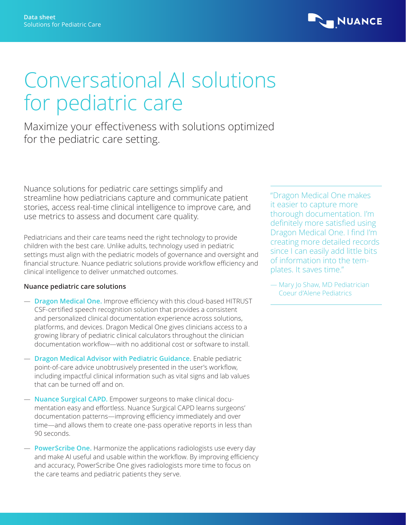

# Conversational AI solutions for pediatric care

Maximize your effectiveness with solutions optimized for the pediatric care setting.

Nuance solutions for pediatric care settings simplify and streamline how pediatricians capture and communicate patient stories, access real-time clinical intelligence to improve care, and use metrics to assess and document care quality.

Pediatricians and their care teams need the right technology to provide children with the best care. Unlike adults, technology used in pediatric settings must align with the pediatric models of governance and oversight and financial structure. Nuance pediatric solutions provide workflow efficiency and clinical intelligence to deliver unmatched outcomes.

## **Nuance pediatric care solutions**

- **Dragon Medical One.** Improve efficiency with this cloud‑based HITRUST CSF‑certified speech recognition solution that provides a consistent and personalized clinical documentation experience across solutions, platforms, and devices. Dragon Medical One gives clinicians access to a growing library of pediatric clinical calculators throughout the clinician documentation workflow—with no additional cost or software to install.
- **Dragon Medical Advisor with Pediatric Guidance.** Enable pediatric point-of-care advice unobtrusively presented in the user's workflow, including impactful clinical information such as vital signs and lab values that can be turned off and on.
- **Nuance Surgical CAPD.** Empower surgeons to make clinical documentation easy and effortless. Nuance Surgical CAPD learns surgeons' documentation patterns—improving efficiency immediately and over time—and allows them to create one-pass operative reports in less than 90 seconds.
- **PowerScribe One.** Harmonize the applications radiologists use every day and make AI useful and usable within the workflow. By improving efficiency and accuracy, PowerScribe One gives radiologists more time to focus on the care teams and pediatric patients they serve.

"Dragon Medical One makes it easier to capture more thorough documentation. I'm definitely more satisfied using Dragon Medical One. I find I'm creating more detailed records since I can easily add little bits of information into the templates. It saves time."

— Mary Jo Shaw, MD Pediatrician Coeur d'Alene Pediatrics